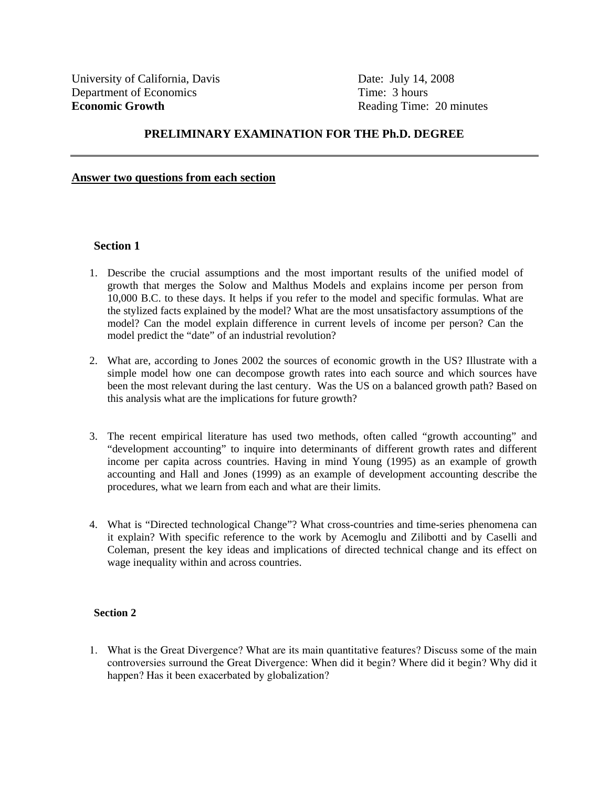## **PRELIMINARY EXAMINATION FOR THE Ph.D. DEGREE**

## **Answer two questions from each section**

## **Section 1**

- 1. Describe the crucial assumptions and the most important results of the unified model of growth that merges the Solow and Malthus Models and explains income per person from 10,000 B.C. to these days. It helps if you refer to the model and specific formulas. What are the stylized facts explained by the model? What are the most unsatisfactory assumptions of the model? Can the model explain difference in current levels of income per person? Can the model predict the "date" of an industrial revolution?
- 2. What are, according to Jones 2002 the sources of economic growth in the US? Illustrate with a simple model how one can decompose growth rates into each source and which sources have been the most relevant during the last century. Was the US on a balanced growth path? Based on this analysis what are the implications for future growth?
- 3. The recent empirical literature has used two methods, often called "growth accounting" and "development accounting" to inquire into determinants of different growth rates and different income per capita across countries. Having in mind Young (1995) as an example of growth accounting and Hall and Jones (1999) as an example of development accounting describe the procedures, what we learn from each and what are their limits.
- 4. What is "Directed technological Change"? What cross-countries and time-series phenomena can it explain? With specific reference to the work by Acemoglu and Zilibotti and by Caselli and Coleman, present the key ideas and implications of directed technical change and its effect on wage inequality within and across countries.

## **Section 2**

1. What is the Great Divergence? What are its main quantitative features? Discuss some of the main controversies surround the Great Divergence: When did it begin? Where did it begin? Why did it happen? Has it been exacerbated by globalization?